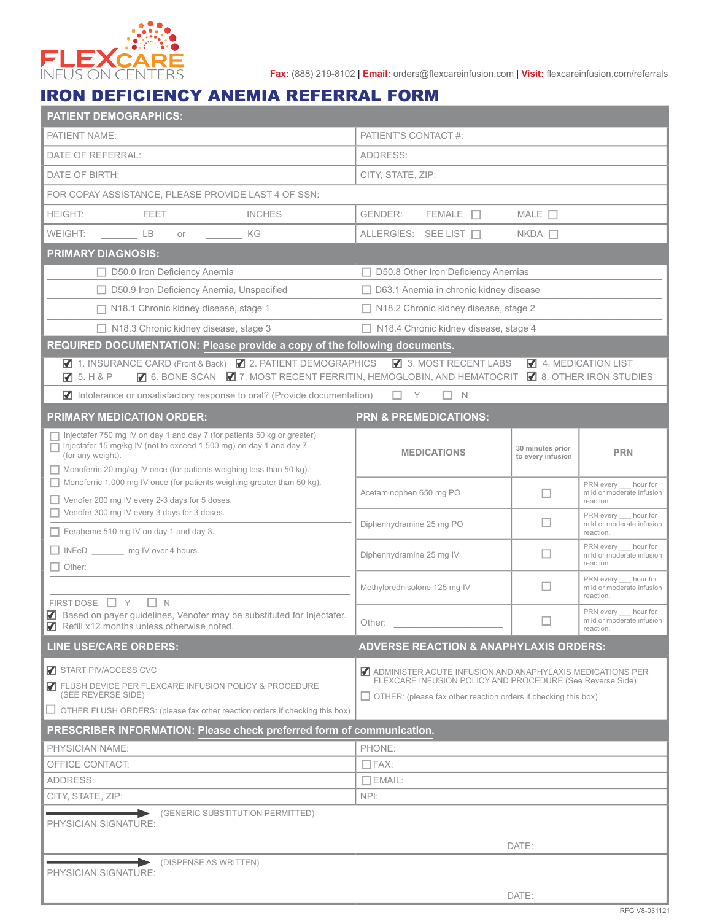

**Fax:** (888) 219-8102 | **Email:** orders@flexcareinfusion.com | **Visit:** flexcareinfusion.com/referrals

## IRON DEFICIENCY ANEMIA REFERRAL FORM

| <b>PATIENT DEMOGRAPHICS:</b>                                                                                                                                                                                                                                                                       |                                                                                                                                                                                                 |                                                                        |                                                                 |  |  |  |  |
|----------------------------------------------------------------------------------------------------------------------------------------------------------------------------------------------------------------------------------------------------------------------------------------------------|-------------------------------------------------------------------------------------------------------------------------------------------------------------------------------------------------|------------------------------------------------------------------------|-----------------------------------------------------------------|--|--|--|--|
| PATIENT NAME:                                                                                                                                                                                                                                                                                      | PATIENT'S CONTACT #:                                                                                                                                                                            |                                                                        |                                                                 |  |  |  |  |
| DATE OF REFERRAL:                                                                                                                                                                                                                                                                                  | ADDRESS:                                                                                                                                                                                        |                                                                        |                                                                 |  |  |  |  |
| DATE OF BIRTH:                                                                                                                                                                                                                                                                                     | CITY, STATE, ZIP:                                                                                                                                                                               |                                                                        |                                                                 |  |  |  |  |
| FOR COPAY ASSISTANCE, PLEASE PROVIDE LAST 4 OF SSN:                                                                                                                                                                                                                                                |                                                                                                                                                                                                 |                                                                        |                                                                 |  |  |  |  |
| HEIGHT:<br>INCHES<br>$\overline{\phantom{a}}$ FEET                                                                                                                                                                                                                                                 | MALE $\Box$<br>GENDER:<br>$FEMALE$ $\Box$                                                                                                                                                       |                                                                        |                                                                 |  |  |  |  |
| $\qquad \qquad \Box$<br>KG<br>WEIGHT:<br>$or$ and $or$ and $or$ and $or$ and $or$ and $or$ and $or$ and $or$ and $or$ and $or$ and $or$ and $or$ and $or$ and $or$ and $or$ and $or$ and $or$ and $or$ and $or$ and $or$ and $or$ and $or$ and $or$ and $or$ and $or$ and $or$ and $or$ and $or$ a | ALLERGIES: SEE LIST                                                                                                                                                                             | $NKDA$ $\Box$                                                          |                                                                 |  |  |  |  |
| <b>PRIMARY DIAGNOSIS:</b>                                                                                                                                                                                                                                                                          |                                                                                                                                                                                                 |                                                                        |                                                                 |  |  |  |  |
| $\Box$ D50.0 Iron Deficiency Anemia                                                                                                                                                                                                                                                                | $\Box$ D50.8 Other Iron Deficiency Anemias                                                                                                                                                      |                                                                        |                                                                 |  |  |  |  |
| □ D50.9 Iron Deficiency Anemia, Unspecified                                                                                                                                                                                                                                                        | □ D63.1 Anemia in chronic kidney disease                                                                                                                                                        |                                                                        |                                                                 |  |  |  |  |
| □ N18.1 Chronic kidney disease, stage 1                                                                                                                                                                                                                                                            | □ N18.2 Chronic kidney disease, stage 2                                                                                                                                                         |                                                                        |                                                                 |  |  |  |  |
| $\Box$ N18.3 Chronic kidney disease, stage 3                                                                                                                                                                                                                                                       |                                                                                                                                                                                                 | □ N18.4 Chronic kidney disease, stage 4                                |                                                                 |  |  |  |  |
| REQUIRED DOCUMENTATION: Please provide a copy of the following documents.                                                                                                                                                                                                                          |                                                                                                                                                                                                 |                                                                        |                                                                 |  |  |  |  |
| ◯ 1. INSURANCE CARD (Front & Back) ◯ 2. PATIENT DEMOGRAPHICS<br>3. MOST RECENT LABS<br>4. MEDICATION LIST<br>☑ 6. BONE SCAN ☑ 7. MOST RECENT FERRITIN, HEMOGLOBIN, AND HEMATOCRIT ☑ 8. OTHER IRON STUDIES<br>75. H&P                                                                               |                                                                                                                                                                                                 |                                                                        |                                                                 |  |  |  |  |
| $\blacksquare$ Intolerance or unsatisfactory response to oral? (Provide documentation) $\blacksquare$ Y                                                                                                                                                                                            | $\Box$ N                                                                                                                                                                                        |                                                                        |                                                                 |  |  |  |  |
| <b>PRIMARY MEDICATION ORDER:</b>                                                                                                                                                                                                                                                                   | <b>PRN &amp; PREMEDICATIONS:</b>                                                                                                                                                                |                                                                        |                                                                 |  |  |  |  |
| Injectafer 750 mg IV on day 1 and day 7 (for patients 50 kg or greater).<br>Injectafer 15 mg/kg IV (not to exceed 1,500 mg) on day 1 and day 7<br>(for any weight).                                                                                                                                | <b>MEDICATIONS</b>                                                                                                                                                                              | 30 minutes prior<br>to every infusion                                  | <b>PRN</b>                                                      |  |  |  |  |
| Monoferric 20 mg/kg IV once (for patients weighing less than 50 kg).<br>Monoferric 1,000 mg IV once (for patients weighing greater than 50 kg).<br>$\Box$ Venofer 200 mg IV every 2-3 days for 5 doses.<br>Venofer 300 mg IV every 3 days for 3 doses.                                             | Acetaminophen 650 mg PO                                                                                                                                                                         | $\Box$                                                                 | PRN every __ hour for<br>mild or moderate infusion              |  |  |  |  |
|                                                                                                                                                                                                                                                                                                    | Diphenhydramine 25 mg PO                                                                                                                                                                        | $\Box$                                                                 | reaction.<br>PRN every __ hour for<br>mild or moderate infusion |  |  |  |  |
| Feraheme 510 mg IV on day 1 and day 3.                                                                                                                                                                                                                                                             |                                                                                                                                                                                                 |                                                                        | reaction.                                                       |  |  |  |  |
| INFeD ________ mg IV over 4 hours.<br>Other:                                                                                                                                                                                                                                                       | Diphenhydramine 25 mg IV                                                                                                                                                                        | PRN every hour for<br>$\Box$<br>mild or moderate infusion<br>reaction. |                                                                 |  |  |  |  |
|                                                                                                                                                                                                                                                                                                    | Methylprednisolone 125 mg IV                                                                                                                                                                    | ш                                                                      | PRN every hour for<br>mild or moderate infusion<br>reaction.    |  |  |  |  |
| FIRST DOSE: $\Box$ Y<br>$\Box N$<br>Based on payer guidelines, Venofer may be substituted for Injectafer.<br>Refill x12 months unless otherwise noted.<br>7                                                                                                                                        | Other:                                                                                                                                                                                          | □                                                                      | PRN every hour for<br>mild or moderate infusion<br>reaction.    |  |  |  |  |
| <b>LINE USE/CARE ORDERS:</b>                                                                                                                                                                                                                                                                       | <b>ADVERSE REACTION &amp; ANAPHYLAXIS ORDERS:</b>                                                                                                                                               |                                                                        |                                                                 |  |  |  |  |
| START PIV/ACCESS CVC                                                                                                                                                                                                                                                                               |                                                                                                                                                                                                 |                                                                        |                                                                 |  |  |  |  |
| <b>7</b> FLUSH DEVICE PER FLEXCARE INFUSION POLICY & PROCEDURE<br>(SEE REVERSE SIDE)                                                                                                                                                                                                               | ADMINISTER ACUTE INFUSION AND ANAPHYLAXIS MEDICATIONS PER<br>FLEXCARE INFUSION POLICY AND PROCEDURE (See Reverse Side)<br>$\Box$ OTHER: (please fax other reaction orders if checking this box) |                                                                        |                                                                 |  |  |  |  |
| OTHER FLUSH ORDERS: (please fax other reaction orders if checking this box)                                                                                                                                                                                                                        |                                                                                                                                                                                                 |                                                                        |                                                                 |  |  |  |  |
| PRESCRIBER INFORMATION: Please check preferred form of communication.                                                                                                                                                                                                                              |                                                                                                                                                                                                 |                                                                        |                                                                 |  |  |  |  |
| PHYSICIAN NAME:                                                                                                                                                                                                                                                                                    | PHONE:                                                                                                                                                                                          |                                                                        |                                                                 |  |  |  |  |
| OFFICE CONTACT:                                                                                                                                                                                                                                                                                    | $\Box$ FAX:                                                                                                                                                                                     |                                                                        |                                                                 |  |  |  |  |
| ADDRESS:                                                                                                                                                                                                                                                                                           | $\Box$ EMAIL:                                                                                                                                                                                   |                                                                        |                                                                 |  |  |  |  |
| CITY, STATE, ZIP:                                                                                                                                                                                                                                                                                  | NPI:                                                                                                                                                                                            |                                                                        |                                                                 |  |  |  |  |
| (GENERIC SUBSTITUTION PERMITTED)<br>PHYSICIAN SIGNATURE:                                                                                                                                                                                                                                           |                                                                                                                                                                                                 |                                                                        |                                                                 |  |  |  |  |
|                                                                                                                                                                                                                                                                                                    |                                                                                                                                                                                                 | DATE:                                                                  |                                                                 |  |  |  |  |
| (DISPENSE AS WRITTEN)<br>PHYSICIAN SIGNATURE:                                                                                                                                                                                                                                                      |                                                                                                                                                                                                 |                                                                        |                                                                 |  |  |  |  |
|                                                                                                                                                                                                                                                                                                    |                                                                                                                                                                                                 | DATE:                                                                  |                                                                 |  |  |  |  |
|                                                                                                                                                                                                                                                                                                    |                                                                                                                                                                                                 |                                                                        | RFG V8-031121                                                   |  |  |  |  |